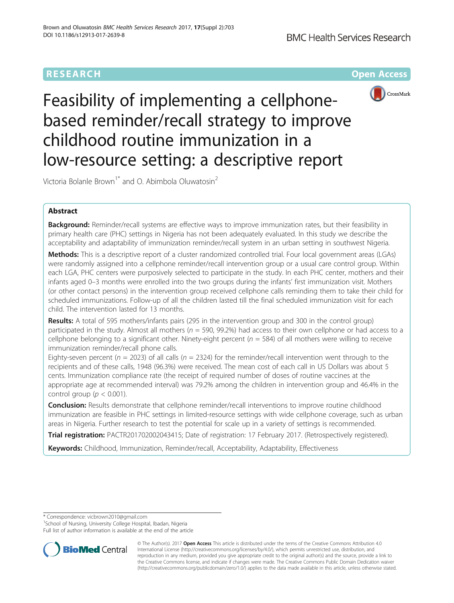# **RESEARCH CHEAR CHEAR CHEAR CHEAR CHEAR CHEAR CHEAR CHEAR CHEAR CHEAR CHEAR CHEAR CHEAR CHEAR CHEAR CHEAR CHEAR**



Feasibility of implementing a cellphonebased reminder/recall strategy to improve childhood routine immunization in a low-resource setting: a descriptive report

Victoria Bolanle Brown<sup>1\*</sup> and O. Abimbola Oluwatosin<sup>2</sup>

# Abstract

**Background:** Reminder/recall systems are effective ways to improve immunization rates, but their feasibility in primary health care (PHC) settings in Nigeria has not been adequately evaluated. In this study we describe the acceptability and adaptability of immunization reminder/recall system in an urban setting in southwest Nigeria.

Methods: This is a descriptive report of a cluster randomized controlled trial. Four local government areas (LGAs) were randomly assigned into a cellphone reminder/recall intervention group or a usual care control group. Within each LGA, PHC centers were purposively selected to participate in the study. In each PHC center, mothers and their infants aged 0–3 months were enrolled into the two groups during the infants' first immunization visit. Mothers (or other contact persons) in the intervention group received cellphone calls reminding them to take their child for scheduled immunizations. Follow-up of all the children lasted till the final scheduled immunization visit for each child. The intervention lasted for 13 months.

Results: A total of 595 mothers/infants pairs (295 in the intervention group and 300 in the control group) participated in the study. Almost all mothers ( $n = 590$ , 99.2%) had access to their own cellphone or had access to a cellphone belonging to a significant other. Ninety-eight percent ( $n = 584$ ) of all mothers were willing to receive immunization reminder/recall phone calls.

Eighty-seven percent ( $n = 2023$ ) of all calls ( $n = 2324$ ) for the reminder/recall intervention went through to the recipients and of these calls, 1948 (96.3%) were received. The mean cost of each call in US Dollars was about 5 cents. Immunization compliance rate (the receipt of required number of doses of routine vaccines at the appropriate age at recommended interval) was 79.2% among the children in intervention group and 46.4% in the control group ( $p < 0.001$ ).

**Conclusion:** Results demonstrate that cellphone reminder/recall interventions to improve routine childhood immunization are feasible in PHC settings in limited-resource settings with wide cellphone coverage, such as urban areas in Nigeria. Further research to test the potential for scale up in a variety of settings is recommended.

Trial registration: [PACTR201702002043415;](http://www.pactr.org/ATMWeb/appmanager/atm/atmregistry_nfpb=true&_windowLabel=trialViewer_1_2&trialViewer_1_2_) Date of registration: 17 February 2017. (Retrospectively registered).

Keywords: Childhood, Immunization, Reminder/recall, Acceptability, Adaptability, Effectiveness

\* Correspondence: [vicbrown2010@gmail.com](mailto:vicbrown2010@gmail.com) <sup>1</sup>

<sup>1</sup> School of Nursing, University College Hospital, Ibadan, Nigeria

Full list of author information is available at the end of the article



© The Author(s). 2017 **Open Access** This article is distributed under the terms of the Creative Commons Attribution 4.0 International License [\(http://creativecommons.org/licenses/by/4.0/](http://creativecommons.org/licenses/by/4.0/)), which permits unrestricted use, distribution, and reproduction in any medium, provided you give appropriate credit to the original author(s) and the source, provide a link to the Creative Commons license, and indicate if changes were made. The Creative Commons Public Domain Dedication waiver [\(http://creativecommons.org/publicdomain/zero/1.0/](http://creativecommons.org/publicdomain/zero/1.0/)) applies to the data made available in this article, unless otherwise stated.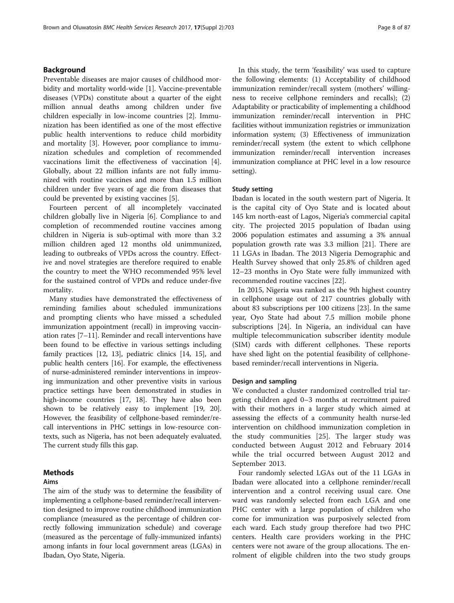# Background

Preventable diseases are major causes of childhood morbidity and mortality world-wide [\[1](#page-6-0)]. Vaccine-preventable diseases (VPDs) constitute about a quarter of the eight million annual deaths among children under five children especially in low-income countries [[2](#page-6-0)]. Immunization has been identified as one of the most effective public health interventions to reduce child morbidity and mortality [\[3](#page-6-0)]. However, poor compliance to immunization schedules and completion of recommended vaccinations limit the effectiveness of vaccination [\[4](#page-6-0)]. Globally, about 22 million infants are not fully immunized with routine vaccines and more than 1.5 million children under five years of age die from diseases that could be prevented by existing vaccines [[5\]](#page-6-0).

Fourteen percent of all incompletely vaccinated children globally live in Nigeria [\[6](#page-6-0)]. Compliance to and completion of recommended routine vaccines among children in Nigeria is sub-optimal with more than 3.2 million children aged 12 months old unimmunized, leading to outbreaks of VPDs across the country. Effective and novel strategies are therefore required to enable the country to meet the WHO recommended 95% level for the sustained control of VPDs and reduce under-five mortality.

Many studies have demonstrated the effectiveness of reminding families about scheduled immunizations and prompting clients who have missed a scheduled immunization appointment (recall) in improving vaccination rates [[7](#page-6-0)–[11\]](#page-6-0). Reminder and recall interventions have been found to be effective in various settings including family practices [\[12](#page-6-0), [13\]](#page-6-0), pediatric clinics [\[14, 15](#page-6-0)], and public health centers [\[16\]](#page-6-0). For example, the effectiveness of nurse-administered reminder interventions in improving immunization and other preventive visits in various practice settings have been demonstrated in studies in high-income countries [\[17, 18\]](#page-6-0). They have also been shown to be relatively easy to implement [[19, 20](#page-6-0)]. However, the feasibility of cellphone-based reminder/recall interventions in PHC settings in low-resource contexts, such as Nigeria, has not been adequately evaluated. The current study fills this gap.

# Methods

# Aims

The aim of the study was to determine the feasibility of implementing a cellphone-based reminder/recall intervention designed to improve routine childhood immunization compliance (measured as the percentage of children correctly following immunization schedule) and coverage (measured as the percentage of fully-immunized infants) among infants in four local government areas (LGAs) in Ibadan, Oyo State, Nigeria.

In this study, the term 'feasibility' was used to capture the following elements: (1) Acceptability of childhood immunization reminder/recall system (mothers' willingness to receive cellphone reminders and recalls); (2) Adaptability or practicability of implementing a childhood immunization reminder/recall intervention in PHC facilities without immunization registries or immunization information system; (3) Effectiveness of immunization reminder/recall system (the extent to which cellphone immunization reminder/recall intervention increases immunization compliance at PHC level in a low resource setting).

# Study setting

Ibadan is located in the south western part of Nigeria. It is the capital city of Oyo State and is located about 145 km north-east of Lagos, Nigeria's commercial capital city. The projected 2015 population of Ibadan using 2006 population estimates and assuming a 3% annual population growth rate was 3.3 million [\[21](#page-6-0)]. There are 11 LGAs in Ibadan. The 2013 Nigeria Demographic and Health Survey showed that only 25.8% of children aged 12–23 months in Oyo State were fully immunized with recommended routine vaccines [\[22\]](#page-6-0).

In 2015, Nigeria was ranked as the 9th highest country in cellphone usage out of 217 countries globally with about 83 subscriptions per 100 citizens [[23\]](#page-6-0). In the same year, Oyo State had about 7.5 million mobile phone subscriptions [\[24\]](#page-7-0). In Nigeria, an individual can have multiple telecommunication subscriber identity module (SIM) cards with different cellphones. These reports have shed light on the potential feasibility of cellphonebased reminder/recall interventions in Nigeria.

### Design and sampling

We conducted a cluster randomized controlled trial targeting children aged 0–3 months at recruitment paired with their mothers in a larger study which aimed at assessing the effects of a community health nurse-led intervention on childhood immunization completion in the study communities [[25\]](#page-7-0). The larger study was conducted between August 2012 and February 2014 while the trial occurred between August 2012 and September 2013.

Four randomly selected LGAs out of the 11 LGAs in Ibadan were allocated into a cellphone reminder/recall intervention and a control receiving usual care. One ward was randomly selected from each LGA and one PHC center with a large population of children who come for immunization was purposively selected from each ward. Each study group therefore had two PHC centers. Health care providers working in the PHC centers were not aware of the group allocations. The enrolment of eligible children into the two study groups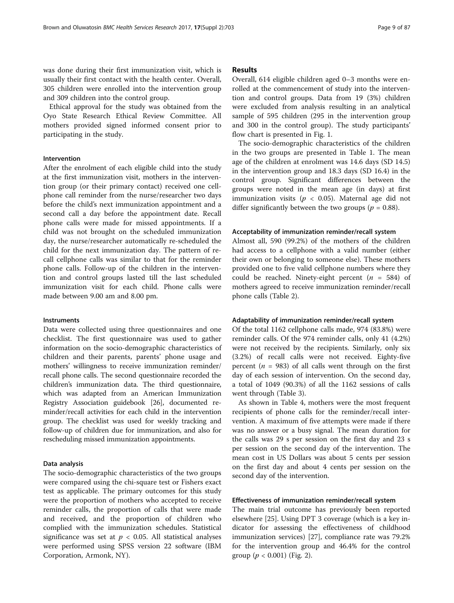was done during their first immunization visit, which is usually their first contact with the health center. Overall, 305 children were enrolled into the intervention group and 309 children into the control group.

Ethical approval for the study was obtained from the Oyo State Research Ethical Review Committee. All mothers provided signed informed consent prior to participating in the study.

# Intervention

After the enrolment of each eligible child into the study at the first immunization visit, mothers in the intervention group (or their primary contact) received one cellphone call reminder from the nurse/researcher two days before the child's next immunization appointment and a second call a day before the appointment date. Recall phone calls were made for missed appointments. If a child was not brought on the scheduled immunization day, the nurse/researcher automatically re-scheduled the child for the next immunization day. The pattern of recall cellphone calls was similar to that for the reminder phone calls. Follow-up of the children in the intervention and control groups lasted till the last scheduled immunization visit for each child. Phone calls were made between 9.00 am and 8.00 pm.

## **Instruments**

Data were collected using three questionnaires and one checklist. The first questionnaire was used to gather information on the socio-demographic characteristics of children and their parents, parents' phone usage and mothers' willingness to receive immunization reminder/ recall phone calls. The second questionnaire recorded the children's immunization data. The third questionnaire, which was adapted from an American Immunization Registry Association guidebook [[26](#page-7-0)], documented reminder/recall activities for each child in the intervention group. The checklist was used for weekly tracking and follow-up of children due for immunization, and also for rescheduling missed immunization appointments.

#### Data analysis

The socio-demographic characteristics of the two groups were compared using the chi-square test or Fishers exact test as applicable. The primary outcomes for this study were the proportion of mothers who accepted to receive reminder calls, the proportion of calls that were made and received, and the proportion of children who complied with the immunization schedules. Statistical significance was set at  $p < 0.05$ . All statistical analyses were performed using SPSS version 22 software (IBM Corporation, Armonk, NY).

# Results

Overall, 614 eligible children aged 0–3 months were enrolled at the commencement of study into the intervention and control groups. Data from 19 (3%) children were excluded from analysis resulting in an analytical sample of 595 children (295 in the intervention group and 300 in the control group). The study participants' flow chart is presented in Fig. [1](#page-3-0).

The socio-demographic characteristics of the children in the two groups are presented in Table [1](#page-4-0). The mean age of the children at enrolment was 14.6 days (SD 14.5) in the intervention group and 18.3 days (SD 16.4) in the control group. Significant differences between the groups were noted in the mean age (in days) at first immunization visits ( $p < 0.05$ ). Maternal age did not differ significantly between the two groups ( $p = 0.88$ ).

# Acceptability of immunization reminder/recall system

Almost all, 590 (99.2%) of the mothers of the children had access to a cellphone with a valid number (either their own or belonging to someone else). These mothers provided one to five valid cellphone numbers where they could be reached. Ninety-eight percent  $(n = 584)$  of mothers agreed to receive immunization reminder/recall phone calls (Table [2](#page-4-0)).

### Adaptability of immunization reminder/recall system

Of the total 1162 cellphone calls made, 974 (83.8%) were reminder calls. Of the 974 reminder calls, only 41 (4.2%) were not received by the recipients. Similarly, only six (3.2%) of recall calls were not received. Eighty-five percent ( $n = 983$ ) of all calls went through on the first day of each session of intervention. On the second day, a total of 1049 (90.3%) of all the 1162 sessions of calls went through (Table [3](#page-5-0)).

As shown in Table [4,](#page-5-0) mothers were the most frequent recipients of phone calls for the reminder/recall intervention. A maximum of five attempts were made if there was no answer or a busy signal. The mean duration for the calls was 29 s per session on the first day and 23 s per session on the second day of the intervention. The mean cost in US Dollars was about 5 cents per session on the first day and about 4 cents per session on the second day of the intervention.

## Effectiveness of immunization reminder/recall system

The main trial outcome has previously been reported elsewhere [[25](#page-7-0)]. Using DPT 3 coverage (which is a key indicator for assessing the effectiveness of childhood immunization services) [[27](#page-7-0)], compliance rate was 79.2% for the intervention group and 46.4% for the control group ( $p < 0.001$ ) (Fig. [2\)](#page-5-0).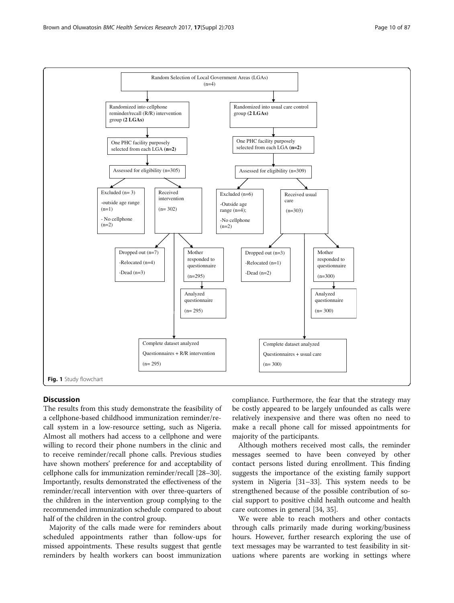<span id="page-3-0"></span>

# **Discussion**

The results from this study demonstrate the feasibility of a cellphone-based childhood immunization reminder/recall system in a low-resource setting, such as Nigeria. Almost all mothers had access to a cellphone and were willing to record their phone numbers in the clinic and to receive reminder/recall phone calls. Previous studies have shown mothers' preference for and acceptability of cellphone calls for immunization reminder/recall [\[28](#page-7-0)–[30](#page-7-0)]. Importantly, results demonstrated the effectiveness of the reminder/recall intervention with over three-quarters of the children in the intervention group complying to the recommended immunization schedule compared to about half of the children in the control group.

Majority of the calls made were for reminders about scheduled appointments rather than follow-ups for missed appointments. These results suggest that gentle reminders by health workers can boost immunization compliance. Furthermore, the fear that the strategy may be costly appeared to be largely unfounded as calls were relatively inexpensive and there was often no need to make a recall phone call for missed appointments for majority of the participants.

Although mothers received most calls, the reminder messages seemed to have been conveyed by other contact persons listed during enrollment. This finding suggests the importance of the existing family support system in Nigeria [\[31](#page-7-0)–[33\]](#page-7-0). This system needs to be strengthened because of the possible contribution of social support to positive child health outcome and health care outcomes in general [[34](#page-7-0), [35](#page-7-0)].

We were able to reach mothers and other contacts through calls primarily made during working/business hours. However, further research exploring the use of text messages may be warranted to test feasibility in situations where parents are working in settings where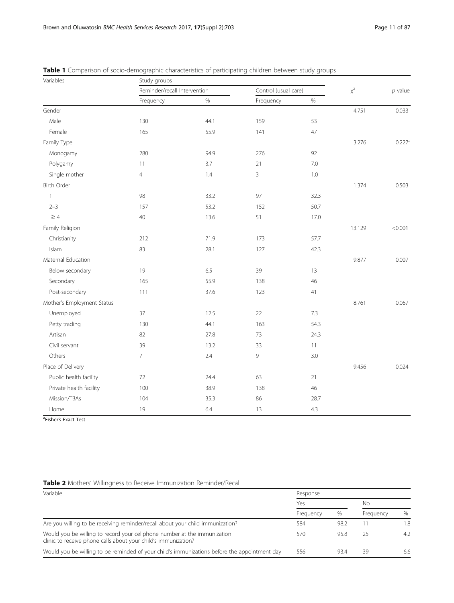| Page 11 of 87 |  |  |
|---------------|--|--|
|---------------|--|--|

| Variables                  | Study groups   |                              |           |                      |          |                      |
|----------------------------|----------------|------------------------------|-----------|----------------------|----------|----------------------|
|                            |                | Reminder/recall Intervention |           | Control (usual care) |          | $p$ value            |
|                            | Frequency      | $\%$                         | Frequency | $\%$                 | $\chi^2$ |                      |
| Gender                     |                |                              |           |                      | 4.751    | 0.033                |
| Male                       | 130            | 44.1                         | 159       | 53                   |          |                      |
| Female                     | 165            | 55.9                         | 141       | 47                   |          |                      |
| Family Type                |                |                              |           |                      | 3.276    | $0.227$ <sup>a</sup> |
| Monogamy                   | 280            | 94.9                         | 276       | 92                   |          |                      |
| Polygamy                   | 11             | 3.7                          | 21        | 7.0                  |          |                      |
| Single mother              | $\overline{4}$ | 1.4                          | 3         | $1.0\,$              |          |                      |
| Birth Order                |                |                              |           |                      | 1.374    | 0.503                |
| $\mathbf{1}$               | 98             | 33.2                         | 97        | 32.3                 |          |                      |
| $2 - 3$                    | 157            | 53.2                         | 152       | 50.7                 |          |                      |
| $\geq 4$                   | $40\,$         | 13.6                         | 51        | 17.0                 |          |                      |
| Family Religion            |                |                              |           |                      | 13.129   | < 0.001              |
| Christianity               | 212            | 71.9                         | 173       | 57.7                 |          |                      |
| Islam                      | 83             | 28.1                         | 127       | 42.3                 |          |                      |
| Maternal Education         |                |                              |           |                      | 9.877    | 0.007                |
| Below secondary            | 19             | 6.5                          | 39        | 13                   |          |                      |
| Secondary                  | 165            | 55.9                         | 138       | 46                   |          |                      |
| Post-secondary             | 111            | 37.6                         | 123       | 41                   |          |                      |
| Mother's Employment Status |                |                              |           |                      | 8.761    | 0.067                |
| Unemployed                 | 37             | 12.5                         | 22        | 7.3                  |          |                      |
| Petty trading              | 130            | 44.1                         | 163       | 54.3                 |          |                      |
| Artisan                    | 82             | 27.8                         | 73        | 24.3                 |          |                      |
| Civil servant              | 39             | 13.2                         | 33        | 11                   |          |                      |
| Others                     | $\overline{7}$ | 2.4                          | 9         | 3.0                  |          |                      |
| Place of Delivery          |                |                              |           |                      | 9.456    | 0.024                |
| Public health facility     | 72             | 24.4                         | 63        | 21                   |          |                      |
| Private health facility    | 100            | 38.9                         | 138       | 46                   |          |                      |
| Mission/TBAs               | 104            | 35.3                         | 86        | 28.7                 |          |                      |
| Home                       | 19             | 6.4                          | 13        | 4.3                  |          |                      |

<span id="page-4-0"></span>Table 1 Comparison of socio-demographic characteristics of participating children between study groups

<sup>a</sup>Fisher's Exact Test

# Table 2 Mothers' Willingness to Receive Immunization Reminder/Recall

| Variable                                                                                                                                   | Response  |      |           |     |  |  |
|--------------------------------------------------------------------------------------------------------------------------------------------|-----------|------|-----------|-----|--|--|
|                                                                                                                                            |           | Yes  |           | Nο  |  |  |
|                                                                                                                                            | Frequency | $\%$ | Frequency | %   |  |  |
| Are you willing to be receiving reminder/recall about your child immunization?                                                             | 584       | 98.2 |           | 1.8 |  |  |
| Would you be willing to record your cellphone number at the immunization<br>clinic to receive phone calls about your child's immunization? | 570       | 95.8 | 25        | 4.2 |  |  |
| Would you be willing to be reminded of your child's immunizations before the appointment day                                               | 556       | 93.4 | 39        | 6.6 |  |  |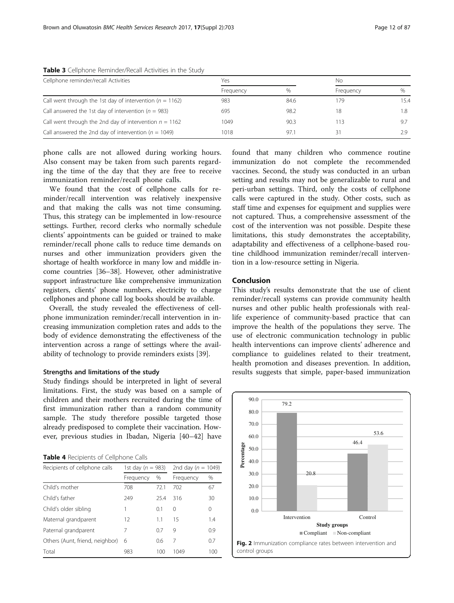| Cellphone reminder/recall Activities                         | Yes       |      | Nο        |      |  |
|--------------------------------------------------------------|-----------|------|-----------|------|--|
|                                                              | Frequency | %    | Frequency |      |  |
| Call went through the 1st day of intervention ( $n = 1162$ ) | 983       | 84.6 | 179       | 15.4 |  |
| Call answered the 1st day of intervention ( $n = 983$ )      | 695       | 98.2 | 18        | 1.8  |  |
| Call went through the 2nd day of intervention $n = 1162$     | 1049      | 90.3 | 113       | 9.7  |  |
| Call answered the 2nd day of intervention ( $n = 1049$ )     | 1018      | 97.1 | 31        | 2.9  |  |

<span id="page-5-0"></span>Table 3 Cellphone Reminder/Recall Activities in the Study

phone calls are not allowed during working hours. Also consent may be taken from such parents regarding the time of the day that they are free to receive immunization reminder/recall phone calls.

We found that the cost of cellphone calls for reminder/recall intervention was relatively inexpensive and that making the calls was not time consuming. Thus, this strategy can be implemented in low-resource settings. Further, record clerks who normally schedule clients' appointments can be guided or trained to make reminder/recall phone calls to reduce time demands on nurses and other immunization providers given the shortage of health workforce in many low and middle income countries [\[36](#page-7-0)–[38](#page-7-0)]. However, other administrative support infrastructure like comprehensive immunization registers, clients' phone numbers, electricity to charge cellphones and phone call log books should be available.

Overall, the study revealed the effectiveness of cellphone immunization reminder/recall intervention in increasing immunization completion rates and adds to the body of evidence demonstrating the effectiveness of the intervention across a range of settings where the availability of technology to provide reminders exists [[39\]](#page-7-0).

### Strengths and limitations of the study

Study findings should be interpreted in light of several limitations. First, the study was based on a sample of children and their mothers recruited during the time of first immunization rather than a random community sample. The study therefore possible targeted those already predisposed to complete their vaccination. However, previous studies in Ibadan, Nigeria [\[40](#page-7-0)–[42\]](#page-7-0) have

|  | Table 4 Recipients of Cellphone Calls |  |  |  |
|--|---------------------------------------|--|--|--|
|--|---------------------------------------|--|--|--|

| Recipients of cellphone calls   | 1st day ( $n = 983$ ) |      | 2nd day ( $n = 1049$ ) |          |  |
|---------------------------------|-----------------------|------|------------------------|----------|--|
|                                 | Frequency             | $\%$ | Frequency              | %        |  |
| Child's mother                  | 708                   | 72.1 | 702                    | 67       |  |
| Child's father                  | 249                   | 254  | 316                    | 30       |  |
| Child's older sibling           |                       | 0.1  | 0                      | $\Omega$ |  |
| Maternal grandparent            | 12                    | 1.1  | 15                     | 14       |  |
| Paternal grandparent            | 7                     | 07   | 9                      | 0.9      |  |
| Others (Aunt, friend, neighbor) | 6                     | 0.6  | 7                      | 0.7      |  |
| Total                           | 983                   | 100  | 1049                   | 100      |  |

found that many children who commence routine immunization do not complete the recommended vaccines. Second, the study was conducted in an urban setting and results may not be generalizable to rural and peri-urban settings. Third, only the costs of cellphone calls were captured in the study. Other costs, such as staff time and expenses for equipment and supplies were not captured. Thus, a comprehensive assessment of the cost of the intervention was not possible. Despite these limitations, this study demonstrates the acceptability, adaptability and effectiveness of a cellphone-based routine childhood immunization reminder/recall intervention in a low-resource setting in Nigeria.

# Conclusion

This study's results demonstrate that the use of client reminder/recall systems can provide community health nurses and other public health professionals with reallife experience of community-based practice that can improve the health of the populations they serve. The use of electronic communication technology in public health interventions can improve clients' adherence and compliance to guidelines related to their treatment, health promotion and diseases prevention. In addition, results suggests that simple, paper-based immunization

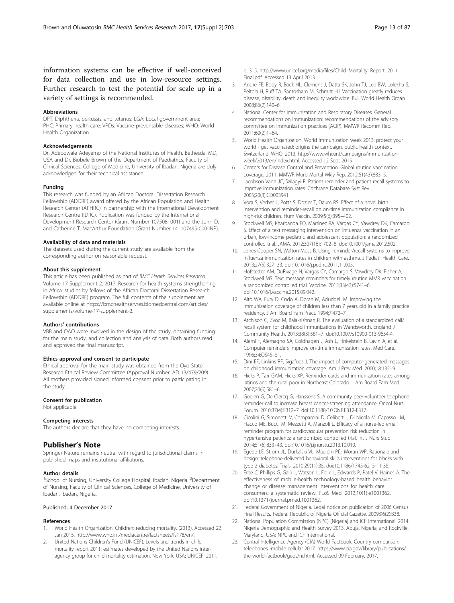<span id="page-6-0"></span>information systems can be effective if well-conceived for data collection and use in low-resource settings. Further research to test the potential for scale up in a variety of settings is recommended.

#### Abbreviations

DPT: Diphtheria, pertussis, and tetanus; LGA: Local government area; PHC: Primary health care; VPDs: Vaccine-preventable diseases; WHO: World Health Organization

#### Acknowledgements

Dr. Adebowale Adeyemo of the National Institutes of Health, Bethesda, MD, USA and Dr. Biobele Brown of the Department of Paediatrics, Faculty of Clinical Sciences, College of Medicine, University of Ibadan, Nigeria are duly acknowledged for their technical assistance.

## Funding

This research was funded by an African Doctoral Dissertation Research Fellowship (ADDRF) award offered by the African Population and Health Research Center (APHRC) in partnership with the International Development Research Centre (IDRC). Publication was funded by the International Development Research Center (Grant Number 107508–001) and the John D. and Catherine T. MacArthur Foundation (Grant Number 14–107495-000-INP).

#### Availability of data and materials

The datasets used during the current study are available from the corresponding author on reasonable request.

#### About this supplement

This article has been published as part of BMC Health Services Research Volume 17 Supplement 2, 2017: Research for health systems strengthening in Africa: studies by fellows of the African Doctoral Dissertation Research Fellowship (ADDRF) program. The full contents of the supplement are available online at [https://bmchealthservres.biomedcentral.com/articles/](https://bmchealthservres.biomedcentral.com/articles/supplements/volume-17-supplement-2) [supplements/volume-17-supplement-2.](https://bmchealthservres.biomedcentral.com/articles/supplements/volume-17-supplement-2)

#### Authors' contributions

VBB and OAO were involved in the design of the study, obtaining funding for the main study, and collection and analysis of data. Both authors read and approved the final manuscript.

#### Ethics approval and consent to participate

Ethical approval for the main study was obtained from the Oyo State Research Ethical Review Committee (Approval Number: AD 13/479/209). All mothers provided signed informed consent prior to participating in the study.

### Consent for publication

Not applicable.

#### Competing interests

The authors declare that they have no competing interests.

# Publisher's Note

Springer Nature remains neutral with regard to jurisdictional claims in published maps and institutional affiliations.

## Author details

<sup>1</sup>School of Nursing, University College Hospital, Ibadan, Nigeria. <sup>2</sup>Department of Nursing, Faculty of Clinical Sciences, College of Medicine, University of Ibadan, Ibadan, Nigeria.

#### Published: 4 December 2017

#### References

- 1. World Health Organization. Children: reducing mortality. (2013). Accessed 22 Jan 2015.<http://www.who.int/mediacentre/factsheets/fs178/en/>.
- 2. United Nations Children's Fund (UNICEF). Levels and trends in child mortality report 2011: estimates developed by the United Nations interagency group for child mortality estimation. New York, USA: UNICEF; 2011.

p. 3–5. [http://www.unicef.org/media/files/Child\\_Mortality\\_Report\\_2011\\_](http://www.unicef.org/media/files/Child_Mortality_Report_2011_Final.pdf) [Final.pdf.](http://www.unicef.org/media/files/Child_Mortality_Report_2011_Final.pdf) Accessed 13 April 2013

- 3. Andre FE, Booy R, Bock HL, Clemens J, Datta SK, John TJ, Lee BW, Lolekha S, Peltola H, Ruff TA, Santosham M, Schmitt HJ. Vaccination greatly reduces disease, disability, death and inequity worldwide. Bull World Health Organ. 2008;86(2):140–6.
- 4. National Center for Immunization and Respiratory Diseases. General recommendations on immunization: recommendations of the advisory committee on immunization practices (ACIP). MMWR Recomm Rep. 2011;60(2):1–64.
- 5. World Health Organization. World immunization week 2013: protect your world - get vaccinated: origins the campaign, public health context. Switzerland: WHO; 2013. [http://www.who.int/campaigns/immunization](http://www.who.int/campaigns/immunization-week/2013/en/index.html)[week/2013/en/index.html.](http://www.who.int/campaigns/immunization-week/2013/en/index.html) Accessed 12 Sept 2015
- 6. Centers for Disease Control and Prevention. Global routine vaccination coverage, 2011. MMWR Morb Mortal Wkly Rep. 2012;61(43):883–5.
- 7. Jacobson Vann JC, Szilagyi P. Patient reminder and patient recall systems to improve immunization rates. Cochrane Database Syst Rev. 2005;20(3):CD003941.
- 8. Vora S, Verber L, Potts S, Dozier T, Daum RS. Effect of a novel birth intervention and reminder-recall on on-time immunization compliance in high-risk children. Hum Vaccin. 2009;5(6):395–402.
- 9. Stockwell MS, Kharbanda EO, Martinez RA, Vargas CY, Vawdrey DK, Camargo S. Effect of a text messaging intervention on influenza vaccination in an urban, low-income pediatric and adolescent population: a randomized controlled trial. JAMA. 2012;307(16):1702–8. doi[:10.1001/jama.2012.502](http://dx.doi.org/10.1001/jama.2012.502).
- 10. Jones Cooper SN, Walton-Moss B. Using reminder/recall systems to improve influenza immunization rates in children with asthma. J Pediatr Health Care. 2013;27(5):327–33. doi:[10.1016/j.pedhc.2011.11.005](http://dx.doi.org/10.1016/j.pedhc.2011.11.005).
- 11. Hofstetter AM, DuRivage N, Vargas CY, Camargo S, Vawdrey DK, Fisher A, Stockwell MS. Text message reminders for timely routine MMR vaccination: a randomized controlled trial. Vaccine. 2015;33(43):5741–6. doi[:10.1016/j.vaccine.2015.09.042](http://dx.doi.org/10.1016/j.vaccine.2015.09.042).
- 12. Alto WA, Fury D, Cndo A, Doran M, Aduddell M. Improving the immunization coverage of children less than 7 years old in a family practice residency. J Am Board Fam Pract. 1994;7:472–7.
- 13. Atchison C, Zvoc M, Balakrishnan R. The evaluation of a standardized call/ recall system for childhood immunizations in Wandsworth. England J Community Health. 2013;38(3):581–7. doi[:10.1007/s10900-013-9654-4](http://dx.doi.org/10.1007/s10900-013-9654-4).
- 14. Alemi F, Alemagno SA, Goldhagen J, Ash L, Finkelstein B, Lavin A, et al. Computer reminders improve on-time immunization rates. Med Care. 1996;34:OS45–51.
- 15. Dini EF, Linkins RF, Sigafoos J. The impact of computer-generated messages on childhood immunization coverage. Am J Prev Med. 2000;18:132–9.
- 16. Hicks P, Tarr GAM, Hicks XP. Reminder cards and immunization rates among latinos and the rural poor in Northeast Colorado. J Am Board Fam Med. 2007;20(6):581–6.
- 17. Goelen G, De Clercq G, Hanssens S. A community peer-volunteer telephone reminder call to increase breast cancer-screening attendance. Oncol Nurs Forum. 2010;37(4):E312–7. doi:[10.1188/10.ONF.E312-E317.](http://dx.doi.org/10.1188/10.ONF.E312-E317)
- 18. Cicolini G, Simonetti V, Comparcini D, Celiberti I, Di Nicola M, Capasso LM, Flacco ME, Bucci M, Mezzetti A, Manzoli L. Efficacy of a nurse-led email reminder program for cardiovascular prevention risk reduction in hypertensive patients: a randomized controlled trial. Int J Nurs Stud. 2014;51(6):833–43. doi:[10.1016/j.ijnurstu.2013.10.010.](http://dx.doi.org/10.1016/j.ijnurstu.2013.10.010)
- 19. Egede LE, Strom JL, Durkalski VL, Mauldin PD, Moran WP. Rationale and design: telephone-delivered behavioral skills interventions for blacks with type 2 diabetes. Trials. 2010;29(11):35. doi:[10.1186/1745-6215-11-35.](http://dx.doi.org/10.1186/1745-6215-11-35)
- 20. Free C, Phillips G, Galli L, Watson L, Felix L, Edwards P, Patel V, Haines A. The effectiveness of mobile-health technology-based health behavior change or disease management interventions for health care consumers: a systematic review. PLoS Med. 2013;10(1):e1001362. doi[:10.1371/journal.pmed.1001362.](http://dx.doi.org/10.1371/journal.pmed.1001362)
- 21. Federal Government of Nigeria. Legal notice on publication of 2006 Census Final Results. Federal Republic of Nigeria Official Gazette. 2009;96(2):B38.
- 22. National Population Commission (NPC) [Nigeria] and ICF International. 2014. Nigeria Demographic and Health Survey 2013. Abuja, Nigeria, and Rockville, Maryland, USA: NPC and ICF International.
- 23. Central Intelligence Agency (CIA) World Factbook. Country comparison: telephones -mobile cellular 2017. [https://www.cia.gov/library/publications/](https://www.cia.gov/library/publications/the-world-factbook/geos/ni.html) [the-world-factbook/geos/ni.html](https://www.cia.gov/library/publications/the-world-factbook/geos/ni.html). Accessed 09 February, 2017.